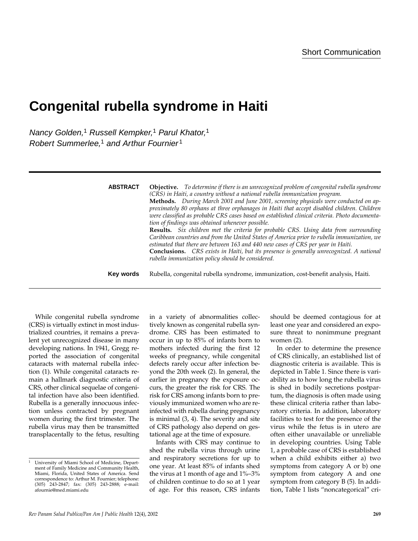# **Congenital rubella syndrome in Haiti**

Nancy Golden,<sup>1</sup> Russell Kempker,<sup>1</sup> Parul Khator,<sup>1</sup> Robert Summerlee,<sup>1</sup> and Arthur Fournier<sup>1</sup>

| <b>ABSTRACT</b> | <b>Objective.</b> To determine if there is an unrecognized problem of congenital rubella syndrome<br>(CRS) in Haiti, a country without a national rubella immunization program.<br>Methods. During March 2001 and June 2001, screening physicals were conducted on ap-<br>proximately 80 orphans at three orphanages in Haiti that accept disabled children. Children<br>were classified as probable CRS cases based on established clinical criteria. Photo documenta-<br>tion of findings was obtained whenever possible.<br><b>Results.</b> Six children met the criteria for probable CRS. Using data from surrounding<br>Caribbean countries and from the United States of America prior to rubella immunization, we<br>estimated that there are between 163 and 440 new cases of CRS per year in Haiti.<br><b>Conclusions.</b> CRS exists in Haiti, but its presence is generally unrecognized. A national<br>rubella immunization policy should be considered. |
|-----------------|-----------------------------------------------------------------------------------------------------------------------------------------------------------------------------------------------------------------------------------------------------------------------------------------------------------------------------------------------------------------------------------------------------------------------------------------------------------------------------------------------------------------------------------------------------------------------------------------------------------------------------------------------------------------------------------------------------------------------------------------------------------------------------------------------------------------------------------------------------------------------------------------------------------------------------------------------------------------------|
| Key words       | Rubella, congenital rubella syndrome, immunization, cost-benefit analysis, Haiti.                                                                                                                                                                                                                                                                                                                                                                                                                                                                                                                                                                                                                                                                                                                                                                                                                                                                                     |

While congenital rubella syndrome (CRS) is virtually extinct in most industrialized countries, it remains a prevalent yet unrecognized disease in many developing nations. In 1941, Gregg reported the association of congenital cataracts with maternal rubella infection (1). While congenital cataracts remain a hallmark diagnostic criteria of CRS, other clinical sequelae of congenital infection have also been identified. Rubella is a generally innocuous infection unless contracted by pregnant women during the first trimester. The rubella virus may then be transmitted transplacentally to the fetus, resulting

in a variety of abnormalities collectively known as congenital rubella syndrome. CRS has been estimated to occur in up to 85% of infants born to mothers infected during the first 12 weeks of pregnancy, while congenital defects rarely occur after infection beyond the 20th week (2). In general, the earlier in pregnancy the exposure occurs, the greater the risk for CRS. The risk for CRS among infants born to previously immunized women who are reinfected with rubella during pregnancy is minimal (3, 4). The severity and site of CRS pathology also depend on gestational age at the time of exposure.

Infants with CRS may continue to shed the rubella virus through urine and respiratory secretions for up to one year. At least 85% of infants shed the virus at 1 month of age and 1%–3% of children continue to do so at 1 year of age. For this reason, CRS infants

should be deemed contagious for at least one year and considered an exposure threat to nonimmune pregnant women (2).

In order to determine the presence of CRS clinically, an established list of diagnostic criteria is available. This is depicted in Table 1. Since there is variability as to how long the rubella virus is shed in bodily secretions postpartum, the diagnosis is often made using these clinical criteria rather than laboratory criteria. In addition, laboratory facilities to test for the presence of the virus while the fetus is in utero are often either unavailable or unreliable in developing countries. Using Table 1, a probable case of CRS is established when a child exhibits either a) two symptoms from category A or b) one symptom from category A and one symptom from category B (5). In addition, Table 1 lists "noncategorical" cri-

<sup>1</sup> University of Miami School of Medicine, Department of Family Medicine and Community Health, Miami, Florida, United States of America. Send correspondence to: Arthur M. Fournier; telephone: (305) 243-2847; fax: (305) 243-2888; e-mail: afournie@med.miami.edu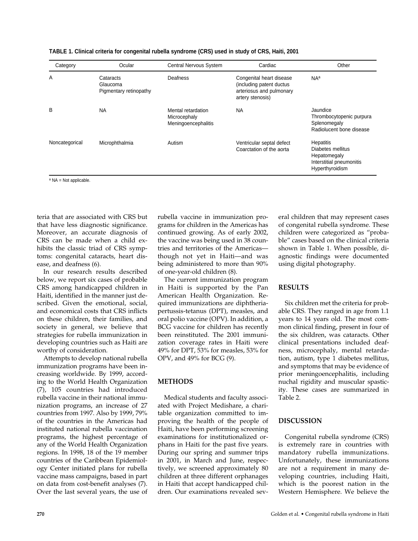| Category       | Ocular                                          | Central Nervous System                                    | Cardiac                                                                                               | Other                                                                                                |
|----------------|-------------------------------------------------|-----------------------------------------------------------|-------------------------------------------------------------------------------------------------------|------------------------------------------------------------------------------------------------------|
| A              | Cataracts<br>Glaucoma<br>Pigmentary retinopathy | <b>Deafness</b>                                           | Congenital heart disease<br>(including patent ductus)<br>arteriosus and pulmonary<br>artery stenosis) | N <sub>Aa</sub>                                                                                      |
| B              | <b>NA</b>                                       | Mental retardation<br>Microcephaly<br>Meningoencephalitis | <b>NA</b>                                                                                             | Jaundice<br>Thrombocytopenic purpura<br>Splenomegaly<br>Radiolucent bone disease                     |
| Noncategorical | Microphthalmia                                  | Autism                                                    | Ventricular septal defect<br>Coarctation of the aorta                                                 | <b>Hepatitis</b><br>Diabetes mellitus<br>Hepatomegaly<br>Interstitial pneumonitis<br>Hyperthyroidism |

| TABLE 1. Clinical criteria for congenital rubella syndrome (CRS) used in study of CRS, Haiti, 2001 |
|----------------------------------------------------------------------------------------------------|
|----------------------------------------------------------------------------------------------------|

<sup>a</sup> NA = Not applicable.

teria that are associated with CRS but that have less diagnostic significance. Moreover, an accurate diagnosis of CRS can be made when a child exhibits the classic triad of CRS symptoms: congenital cataracts, heart disease, and deafness (6).

In our research results described below, we report six cases of probable CRS among handicapped children in Haiti, identified in the manner just described. Given the emotional, social, and economical costs that CRS inflicts on these children, their families, and society in general, we believe that strategies for rubella immunization in developing countries such as Haiti are worthy of consideration.

Attempts to develop national rubella immunization programs have been increasing worldwide. By 1999, according to the World Health Organization (7), 105 countries had introduced rubella vaccine in their national immunization programs, an increase of 27 countries from 1997. Also by 1999, 79% of the countries in the Americas had instituted national rubella vaccination programs, the highest percentage of any of the World Health Organization regions. In 1998, 18 of the 19 member countries of the Caribbean Epidemiology Center initiated plans for rubella vaccine mass campaigns, based in part on data from cost-benefit analyses (7). Over the last several years, the use of

rubella vaccine in immunization programs for children in the Americas has continued growing. As of early 2002, the vaccine was being used in 38 countries and territories of the Americas though not yet in Haiti—and was being administered to more than 90% of one-year-old children (8).

The current immunization program in Haiti is supported by the Pan American Health Organization. Required immunizations are diphtheriapertussis-tetanus (DPT), measles, and oral polio vaccine (OPV). In addition, a BCG vaccine for children has recently been reinstituted. The 2001 immunization coverage rates in Haiti were 49% for DPT, 53% for measles, 53% for OPV, and 49% for BCG (9).

# **METHODS**

Medical students and faculty associated with Project Medishare, a charitable organization committed to improving the health of the people of Haiti, have been performing screening examinations for institutionalized orphans in Haiti for the past five years. During our spring and summer trips in 2001, in March and June, respectively, we screened approximately 80 children at three different orphanages in Haiti that accept handicapped children. Our examinations revealed several children that may represent cases of congenital rubella syndrome. These children were categorized as "probable" cases based on the clinical criteria shown in Table 1. When possible, diagnostic findings were documented using digital photography.

# **RESULTS**

Six children met the criteria for probable CRS. They ranged in age from 1.1 years to 14 years old. The most common clinical finding, present in four of the six children, was cataracts. Other clinical presentations included deafness, microcephaly, mental retardation, autism, type 1 diabetes mellitus, and symptoms that may be evidence of prior meningoencephalitis, including nuchal rigidity and muscular spasticity. These cases are summarized in Table 2.

#### **DISCUSSION**

Congenital rubella syndrome (CRS) is extremely rare in countries with mandatory rubella immunizations. Unfortunately, these immunizations are not a requirement in many developing countries, including Haiti, which is the poorest nation in the Western Hemisphere. We believe the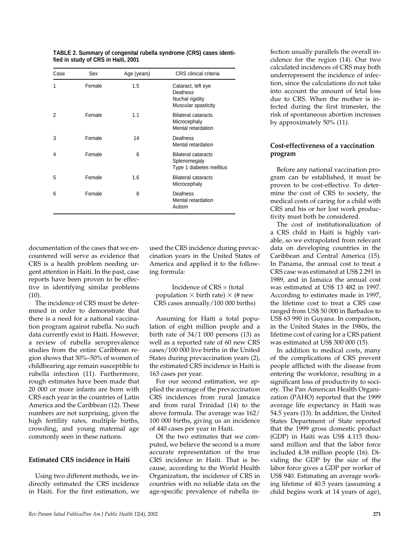| Case | Sex    | Age (years) | CRS clinical criteria                                                    |
|------|--------|-------------|--------------------------------------------------------------------------|
| 1    | Female | 1.5         | Cataract, left eye<br>Deafness<br>Nuchal rigidity<br>Muscular spasticity |
| 2    | Female | 1.1         | <b>Bilateral cataracts</b><br>Microcephaly<br>Mental retardation         |
| 3    | Female | 14          | Deafness<br>Mental retardation                                           |
| 4    | Female | 6           | <b>Bilateral cataracts</b><br>Splenomegaly<br>Type 1 diabetes mellitus   |
| 5    | Female | 1.6         | <b>Bilateral cataracts</b><br>Microcephaly                               |
| 6    | Female | 8           | Deafness<br>Mental retardation<br>Autism                                 |

**TABLE 2. Summary of congenital rubella syndrome (CRS) cases identified in study of CRS in Haiti, 2001**

documentation of the cases that we encountered will serve as evidence that CRS is a health problem needing urgent attention in Haiti. In the past, case reports have been proven to be effective in identifying similar problems  $(10).$ 

The incidence of CRS must be determined in order to demonstrate that there is a need for a national vaccination program against rubella. No such data currently exist in Haiti. However, a review of rubella seroprevalence studies from the entire Caribbean region shows that 30%–50% of women of childbearing age remain susceptible to rubella infection (11). Furthermore, rough estimates have been made that 20 000 or more infants are born with CRS each year in the countries of Latin America and the Caribbean (12). These numbers are not surprising, given the high fertility rates, multiple births, crowding, and young maternal age commonly seen in these nations.

#### **Estimated CRS incidence in Haiti**

Using two different methods, we indirectly estimated the CRS incidence in Haiti. For the first estimation, we

used the CRS incidence during prevaccination years in the United States of America and applied it to the following formula:

Incidence of CRS = (total population  $\times$  birth rate)  $\times$  (# new CRS cases annually/100 000 births)

Assuming for Haiti a total population of eight million people and a birth rate of  $34/1$  000 persons (13) as well as a reported rate of 60 new CRS cases/100 000 live births in the United States during prevaccination years (2), the estimated CRS incidence in Haiti is 163 cases per year.

For our second estimation, we applied the average of the prevaccination CRS incidences from rural Jamaica and from rural Trinidad (14) to the above formula. The average was 162/ 100 000 births, giving us an incidence of 440 cases per year in Haiti.

Of the two estimates that we computed, we believe the second is a more accurate representation of the true CRS incidence in Haiti. That is because, according to the World Health Organization, the incidence of CRS in countries with no reliable data on the age-specific prevalence of rubella infection usually parallels the overall incidence for the region (14). Our two calculated incidences of CRS may both underrepresent the incidence of infection, since the calculations do not take into account the amount of fetal loss due to CRS. When the mother is infected during the first trimester, the risk of spontaneous abortion increases by approximately 50% (11).

#### **Cost-effectiveness of a vaccination program**

Before any national vaccination program can be established, it must be proven to be cost-effective. To determine the cost of CRS to society, the medical costs of caring for a child with CRS and his or her lost work productivity must both be considered.

The cost of institutionalization of a CRS child in Haiti is highly variable, so we extrapolated from relevant data on developing countries in the Caribbean and Central America (15). In Panama, the annual cost to treat a CRS case was estimated at US\$ 2 291 in 1989, and in Jamaica the annual cost was estimated at US\$ 13 482 in 1997. According to estimates made in 1997, the lifetime cost to treat a CRS case ranged from US\$ 50 000 in Barbados to US\$ 63 990 in Guyana. In comparison, in the United States in the 1980s, the lifetime cost of caring for a CRS patient was estimated at US\$ 300 000 (15).

In addition to medical costs, many of the complications of CRS prevent people afflicted with the disease from entering the workforce, resulting in a significant loss of productivity to society. The Pan American Health Organization (PAHO) reported that the 1999 average life expectancy in Haiti was 54.5 years (13). In addition, the United States Department of State reported that the 1999 gross domestic product (GDP) in Haiti was US\$ 4.115 thousand million and that the labor force included 4.38 million people (16). Dividing the GDP by the size of the labor force gives a GDP per worker of US\$ 940. Estimating an average working lifetime of 40.5 years (assuming a child begins work at 14 years of age),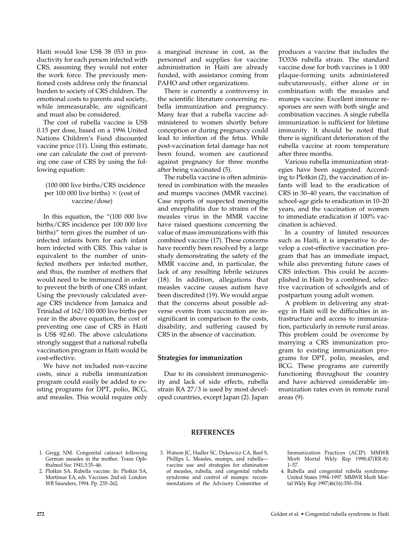Haiti would lose US\$ 38 053 in productivity for each person infected with CRS, assuming they would not enter the work force. The previously mentioned costs address only the financial burden to society of CRS children. The emotional costs to parents and society, while immeasurable, are significant and must also be considered.

The cost of rubella vaccine is US\$ 0.15 per dose, based on a 1996 United Nations Children's Fund discounted vaccine price (11). Using this estimate, one can calculate the cost of preventing one case of CRS by using the following equation:

#### (100 000 live births/CRS incidence per 100 000 live births)  $\times$  (cost of vaccine/dose)

In this equation, the "(100 000 live births/CRS incidence per 100 000 live births)" term gives the number of uninfected infants born for each infant born infected with CRS. This value is equivalent to the number of uninfected mothers per infected mother, and thus, the number of mothers that would need to be immunized in order to prevent the birth of one CRS infant. Using the previously calculated average CRS incidence from Jamaica and Trinidad of 162/100 000 live births per year in the above equation, the cost of preventing one case of CRS in Haiti is US\$ 92.60. The above calculations strongly suggest that a national rubella vaccination program in Haiti would be cost-effective.

We have not included non-vaccine costs, since a rubella immunization program could easily be added to existing programs for DPT, polio, BCG, and measles. This would require only a marginal increase in cost, as the personnel and supplies for vaccine administration in Haiti are already funded, with assistance coming from PAHO and other organizations.

There is currently a controversy in the scientific literature concerning rubella immunization and pregnancy. Many fear that a rubella vaccine administered to women shortly before conception or during pregnancy could lead to infection of the fetus. While post-vaccination fetal damage has not been found, women are cautioned against pregnancy for three months after being vaccinated (5).

The rubella vaccine is often administered in combination with the measles and mumps vaccines (MMR vaccine). Case reports of suspected meningitis and encephalitis due to strains of the measles virus in the MMR vaccine have raised questions concerning the value of mass immunizations with this combined vaccine (17). These concerns have recently been resolved by a large study demonstrating the safety of the MMR vaccine and, in particular, the lack of any resulting febrile seizures (18). In addition, allegations that measles vaccine causes autism have been discredited (19). We would argue that the concerns about possible adverse events from vaccination are insignificant in comparison to the costs, disability, and suffering caused by CRS in the absence of vaccination.

#### **Strategies for immunization**

Due to its consistent immunogenicity and lack of side effects, rubella strain RA 27/3 is used by most developed countries, except Japan (2). Japan produces a vaccine that includes the TO336 rubella strain. The standard vaccine dose for both vaccines is 1 000 plaque-forming units administered subcutaneously, either alone or in combination with the measles and mumps vaccine. Excellent immune responses are seen with both single and combination vaccines. A single rubella immunization is sufficient for lifetime immunity. It should be noted that there is significant deterioration of the rubella vaccine at room temperature after three months.

Various rubella immunization strategies have been suggested. According to Plotkin (2), the vaccination of infants will lead to the eradication of CRS in 30–40 years, the vaccination of school-age girls to eradication in 10–20 years, and the vaccination of women to immediate eradication if 100% vaccination is achieved.

In a country of limited resources such as Haiti, it is imperative to develop a cost-effective vaccination program that has an immediate impact, while also preventing future cases of CRS infection. This could be accomplished in Haiti by a combined, selective vaccination of schoolgirls and of postpartum young adult women.

A problem in delivering any strategy in Haiti will be difficulties in infrastructure and access to immunization, particularly in remote rural areas. This problem could be overcome by marrying a CRS immunization program to existing immunization programs for DPT, polio, measles, and BCG. These programs are currently functioning throughout the country and have achieved considerable immunization rates even in remote rural areas (9).

#### **REFERENCES**

- 1. Gregg NM. Congenital cataract following German measles in the mother. Trans Ophthalmol Soc 1941;3:35–46.
- 2. Plotkin SA. Rubella vaccine. In: Plotkin SA, Mortimar EA, eds. Vaccines. 2nd ed. London: WB Saunders; 1994. Pp. 235–262.
- 3. Watson JC, Hadler SC, Dykewicz CA, Reef S, Phillips L. Measles, mumps, and rubella vaccine use and strategies for elimination of measles, rubella, and congenital rubella syndrome and control of mumps: recommendations of the Advisory Committee of

Immunization Practices (ACIP). MMWR Morb Mortal Wkly Rep 1998;47(RR-8): 1–57.

4. Rubella and congenital rubella syndrome-United States 1994-1997. MMWR Morb Mortal Wkly Rep 1997;46(16):350–354.